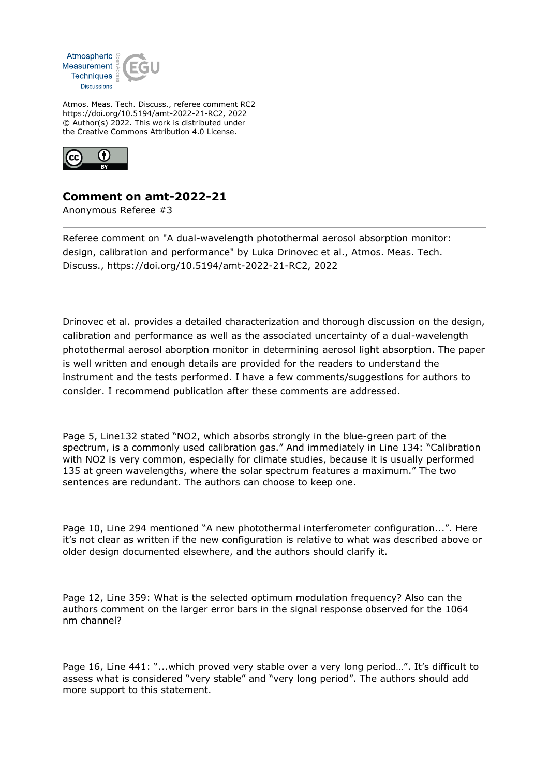

Atmos. Meas. Tech. Discuss., referee comment RC2 https://doi.org/10.5194/amt-2022-21-RC2, 2022 © Author(s) 2022. This work is distributed under the Creative Commons Attribution 4.0 License.



## **Comment on amt-2022-21**

Anonymous Referee #3

Referee comment on "A dual-wavelength photothermal aerosol absorption monitor: design, calibration and performance" by Luka Drinovec et al., Atmos. Meas. Tech. Discuss., https://doi.org/10.5194/amt-2022-21-RC2, 2022

Drinovec et al. provides a detailed characterization and thorough discussion on the design, calibration and performance as well as the associated uncertainty of a dual-wavelength photothermal aerosol aborption monitor in determining aerosol light absorption. The paper is well written and enough details are provided for the readers to understand the instrument and the tests performed. I have a few comments/suggestions for authors to consider. I recommend publication after these comments are addressed.

Page 5, Line132 stated "NO2, which absorbs strongly in the blue-green part of the spectrum, is a commonly used calibration gas." And immediately in Line 134: "Calibration with NO2 is very common, especially for climate studies, because it is usually performed 135 at green wavelengths, where the solar spectrum features a maximum." The two sentences are redundant. The authors can choose to keep one.

Page 10, Line 294 mentioned "A new photothermal interferometer configuration...". Here it's not clear as written if the new configuration is relative to what was described above or older design documented elsewhere, and the authors should clarify it.

Page 12, Line 359: What is the selected optimum modulation frequency? Also can the authors comment on the larger error bars in the signal response observed for the 1064 nm channel?

Page 16, Line 441: "...which proved very stable over a very long period...". It's difficult to assess what is considered "very stable" and "very long period". The authors should add more support to this statement.